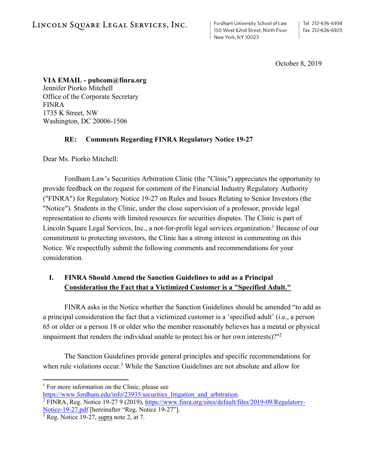Fordham University School of Law 150 West 62nd Street, Ninth Floor New York, NY 10023

October 8, 2019

**VIA EMAIL - pubcom@finra.org**  Jennifer Piorko Mitchell Office of the Corporate Secretary FINRA 1735 K Street, NW Washington, DC 20006-1506

# **RE: Comments Regarding FINRA Regulatory Notice 19-27**

Dear Ms. Piorko Mitchell:

Fordham Law's Securities Arbitration Clinic (the "Clinic") appreciates the opportunity to provide feedback on the request for comment of the Financial Industry Regulatory Authority ("FINRA") for Regulatory Notice 19-27 on Rules and Issues Relating to Senior Investors (the "Notice"). Students in the Clinic, under the close supervision of a professor, provide legal representation to clients with limited resources for securities disputes. The Clinic is part of Lincoln Square Legal Services, Inc., a not-for-profit legal services organization.<sup>1</sup> Because of our commitment to protecting investors, the Clinic has a strong interest in commenting on this Notice. We respectfully submit the following comments and recommendations for your consideration.

# **I. FINRA Should Amend the Sanction Guidelines to add as a Principal Consideration the Fact that a Victimized Customer is a "Specified Adult."**

FINRA asks in the Notice whether the Sanction Guidelines should be amended "to add as a principal consideration the fact that a victimized customer is a 'specified adult' (i.e., a person 65 or older or a person 18 or older who the member reasonably believes has a mental or physical impairment that renders the individual unable to protect his or her own interests)?"2

 The Sanction Guidelines provide general principles and specific recommendations for when rule violations occur.<sup>3</sup> While the Sanction Guidelines are not absolute and allow for

<sup>&</sup>lt;sup>1</sup> For more information on the Clinic, please see

https://www.fordham.edu/info/23935/securities\_litigation\_and\_arbitration.

FINRA, Reg. Notice 19-27 9 (2019), https://www.finra.org/sites/default/files/2019-09/Regulatory-Notice-19-27.pdf [hereinafter "Reg. Notice 19-27"].

 $3$  Reg. Notice 19-27, supra note 2, at 7.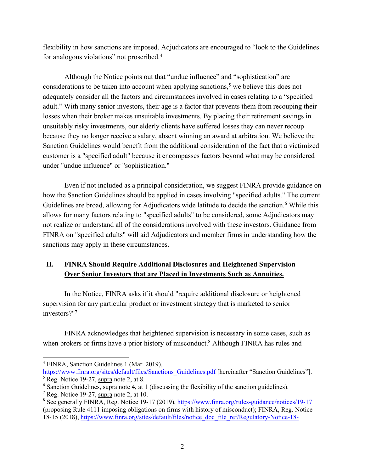flexibility in how sanctions are imposed, Adjudicators are encouraged to "look to the Guidelines for analogous violations" not proscribed.4

Although the Notice points out that "undue influence" and "sophistication" are considerations to be taken into account when applying sanctions, 5 we believe this does not adequately consider all the factors and circumstances involved in cases relating to a "specified adult." With many senior investors, their age is a factor that prevents them from recouping their losses when their broker makes unsuitable investments. By placing their retirement savings in unsuitably risky investments, our elderly clients have suffered losses they can never recoup because they no longer receive a salary, absent winning an award at arbitration. We believe the Sanction Guidelines would benefit from the additional consideration of the fact that a victimized customer is a "specified adult" because it encompasses factors beyond what may be considered under "undue influence" or "sophistication."

Even if not included as a principal consideration, we suggest FINRA provide guidance on how the Sanction Guidelines should be applied in cases involving "specified adults." The current Guidelines are broad, allowing for Adjudicators wide latitude to decide the sanction.<sup>6</sup> While this allows for many factors relating to "specified adults" to be considered, some Adjudicators may not realize or understand all of the considerations involved with these investors. Guidance from FINRA on "specified adults" will aid Adjudicators and member firms in understanding how the sanctions may apply in these circumstances.

# **II. FINRA Should Require Additional Disclosures and Heightened Supervision Over Senior Investors that are Placed in Investments Such as Annuities.**

 In the Notice, FINRA asks if it should "require additional disclosure or heightened supervision for any particular product or investment strategy that is marketed to senior investors?"7

 FINRA acknowledges that heightened supervision is necessary in some cases, such as when brokers or firms have a prior history of misconduct.<sup>8</sup> Although FINRA has rules and

<sup>4</sup> FINRA, Sanction Guidelines 1 (Mar. 2019),

https://www.finra.org/sites/default/files/Sanctions\_Guidelines.pdf [hereinafter "Sanction Guidelines"].  $<sup>5</sup>$  Reg. Notice 19-27, supra note 2, at 8.</sup>

 $6$  Sanction Guidelines, supra note 4, at 1 (discussing the flexibility of the sanction guidelines).

<sup>&</sup>lt;sup>7</sup> Reg. Notice 19-27, supra note 2, at 10.

<sup>&</sup>lt;sup>8</sup> See generally FINRA, Reg. Notice 19-17 (2019), https://www.finra.org/rules-guidance/notices/19-17 (proposing Rule 4111 imposing obligations on firms with history of misconduct); FINRA, Reg. Notice 18-15 (2018), https://www.finra.org/sites/default/files/notice\_doc\_file\_ref/Regulatory-Notice-18-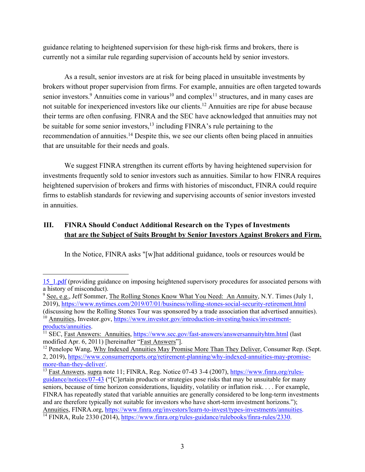guidance relating to heightened supervision for these high-risk firms and brokers, there is currently not a similar rule regarding supervision of accounts held by senior investors.

As a result, senior investors are at risk for being placed in unsuitable investments by brokers without proper supervision from firms. For example, annuities are often targeted towards senior investors.<sup>9</sup> Annuities come in various<sup>10</sup> and complex<sup>11</sup> structures, and in many cases are not suitable for inexperienced investors like our clients.12 Annuities are ripe for abuse because their terms are often confusing. FINRA and the SEC have acknowledged that annuities may not be suitable for some senior investors,<sup>13</sup> including FINRA's rule pertaining to the recommendation of annuities.14 Despite this, we see our clients often being placed in annuities that are unsuitable for their needs and goals.

We suggest FINRA strengthen its current efforts by having heightened supervision for investments frequently sold to senior investors such as annuities. Similar to how FINRA requires heightened supervision of brokers and firms with histories of misconduct, FINRA could require firms to establish standards for reviewing and supervising accounts of senior investors invested in annuities.

# **III. FINRA Should Conduct Additional Research on the Types of Investments that are the Subject of Suits Brought by Senior Investors Against Brokers and Firm.**

In the Notice, FINRA asks "[w]hat additional guidance, tools or resources would be

<sup>15</sup>\_1.pdf (providing guidance on imposing heightened supervisory procedures for associated persons with a history of misconduct).

 $9 \text{ See, e.g., Jeff Sommer, The Rolling Stones Know What You Need: An Annuity, N.Y. Times (July 1, 1)$ 2019), https://www.nytimes.com/2019/07/01/business/rolling-stones-social-security-retirement.html

<sup>(</sup>discussing how the Rolling Stones Tour was sponsored by a trade association that advertised annuities). <sup>10</sup> Annuities, Investor.gov, https://www.investor.gov/introduction-investing/basics/investment-

products/annuities.<br><sup>11</sup> SEC, <u>Fast Answers: Annuities, https://www.sec.gov/fast-answers/answersannuityhtm.html</u> (last modified Apr. 6, 2011) [hereinafter "Fast Answers"].

 $<sup>12</sup>$  Penelope Wang, Why Indexed Annuities May Promise More Than They Deliver, Consumer Rep. (Sept.)</sup> 2, 2019), https://www.consumerreports.org/retirement-planning/why-indexed-annuities-may-promisemore-than-they-deliver/.<br><sup>13</sup> Fast Answers, supra note 11; FINRA, Reg. Notice 07-43 3-4 (2007), https://www.finra.org/rules-

guidance/notices/07-43 ("[C]ertain products or strategies pose risks that may be unsuitable for many seniors, because of time horizon considerations, liquidity, volatility or inflation risk. . . . For example, FINRA has repeatedly stated that variable annuities are generally considered to be long-term investments and are therefore typically not suitable for investors who have short-term investment horizons."); Annuities, FINRA.org, https://www.finra.org/investors/learn-to-invest/types-investments/annuities.  $\frac{14 \text{ FINRA}}{14 \text{ FINRA}}$ , Rule 2330 (2014), https://www.finra.org/rules-guidance/rulebooks/finra-rules/2330.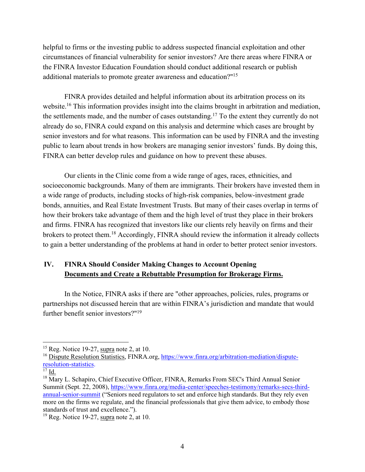helpful to firms or the investing public to address suspected financial exploitation and other circumstances of financial vulnerability for senior investors? Are there areas where FINRA or the FINRA Investor Education Foundation should conduct additional research or publish additional materials to promote greater awareness and education?"15

FINRA provides detailed and helpful information about its arbitration process on its website.16 This information provides insight into the claims brought in arbitration and mediation, the settlements made, and the number of cases outstanding.17 To the extent they currently do not already do so, FINRA could expand on this analysis and determine which cases are brought by senior investors and for what reasons. This information can be used by FINRA and the investing public to learn about trends in how brokers are managing senior investors' funds. By doing this, FINRA can better develop rules and guidance on how to prevent these abuses.

Our clients in the Clinic come from a wide range of ages, races, ethnicities, and socioeconomic backgrounds. Many of them are immigrants. Their brokers have invested them in a wide range of products, including stocks of high-risk companies, below-investment grade bonds, annuities, and Real Estate Investment Trusts. But many of their cases overlap in terms of how their brokers take advantage of them and the high level of trust they place in their brokers and firms. FINRA has recognized that investors like our clients rely heavily on firms and their brokers to protect them.18 Accordingly, FINRA should review the information it already collects to gain a better understanding of the problems at hand in order to better protect senior investors.

# **IV. FINRA Should Consider Making Changes to Account Opening Documents and Create a Rebuttable Presumption for Brokerage Firms.**

 In the Notice, FINRA asks if there are "other approaches, policies, rules, programs or partnerships not discussed herein that are within FINRA's jurisdiction and mandate that would further benefit senior investors?"19

 $15$  Reg. Notice 19-27, supra note 2, at 10.

<sup>&</sup>lt;sup>16</sup> Dispute Resolution Statistics, FINRA.org, https://www.finra.org/arbitration-mediation/disputeresolution-statistics.

 $^{17}$  Id.

<sup>&</sup>lt;sup>18</sup> Mary L. Schapiro, Chief Executive Officer, FINRA, Remarks From SEC's Third Annual Senior Summit (Sept. 22, 2008), https://www.finra.org/media-center/speeches-testimony/remarks-secs-thirdannual-senior-summit ("Seniors need regulators to set and enforce high standards. But they rely even more on the firms we regulate, and the financial professionals that give them advice, to embody those standards of trust and excellence.").

 $19$  Reg. Notice 19-27, supra note 2, at 10.